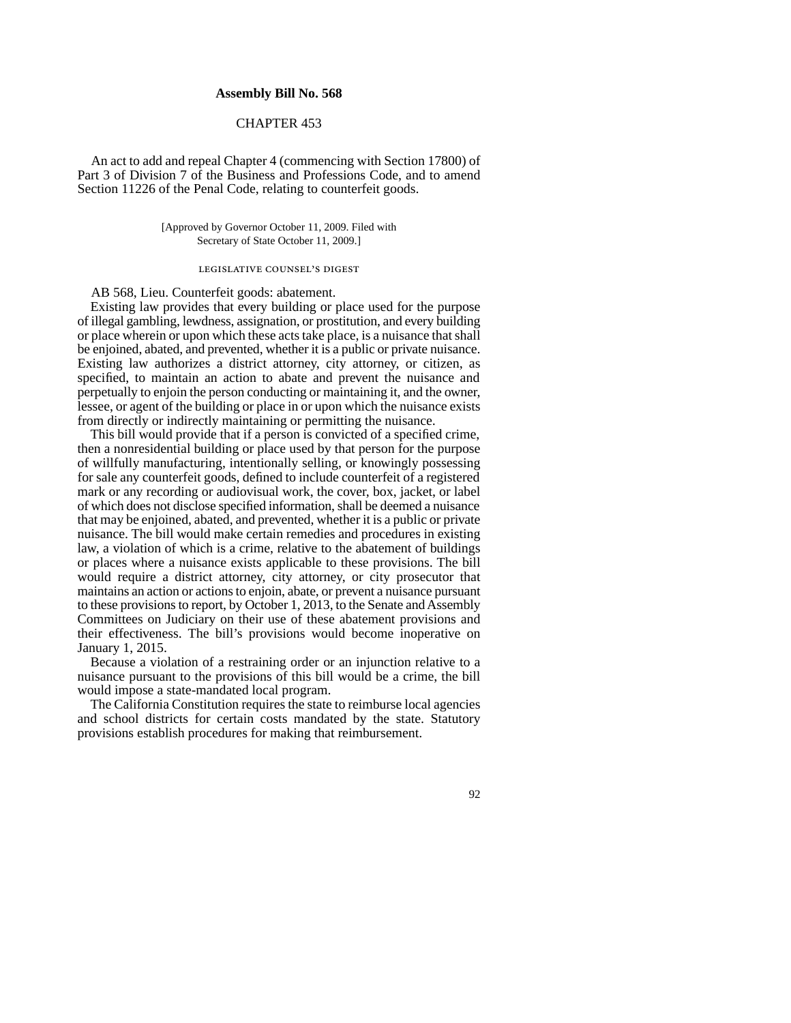## **Assembly Bill No. 568**

## CHAPTER 453

An act to add and repeal Chapter 4 (commencing with Section 17800) of Part 3 of Division 7 of the Business and Professions Code, and to amend Section 11226 of the Penal Code, relating to counterfeit goods.

> [Approved by Governor October 11, 2009. Filed with Secretary of State October 11, 2009.]

## LEGISLATIVE COUNSEL'S DIGEST

AB 568, Lieu. Counterfeit goods: abatement.

Existing law provides that every building or place used for the purpose of illegal gambling, lewdness, assignation, or prostitution, and every building or place wherein or upon which these acts take place, is a nuisance that shall be enjoined, abated, and prevented, whether it is a public or private nuisance. Existing law authorizes a district attorney, city attorney, or citizen, as specified, to maintain an action to abate and prevent the nuisance and perpetually to enjoin the person conducting or maintaining it, and the owner, lessee, or agent of the building or place in or upon which the nuisance exists from directly or indirectly maintaining or permitting the nuisance.

This bill would provide that if a person is convicted of a specified crime, then a nonresidential building or place used by that person for the purpose of willfully manufacturing, intentionally selling, or knowingly possessing for sale any counterfeit goods, defined to include counterfeit of a registered mark or any recording or audiovisual work, the cover, box, jacket, or label of which does not disclose specified information, shall be deemed a nuisance that may be enjoined, abated, and prevented, whether it is a public or private nuisance. The bill would make certain remedies and procedures in existing law, a violation of which is a crime, relative to the abatement of buildings or places where a nuisance exists applicable to these provisions. The bill would require a district attorney, city attorney, or city prosecutor that maintains an action or actions to enjoin, abate, or prevent a nuisance pursuant to these provisions to report, by October 1, 2013, to the Senate and Assembly Committees on Judiciary on their use of these abatement provisions and their effectiveness. The bill's provisions would become inoperative on January 1, 2015.

Because a violation of a restraining order or an injunction relative to a nuisance pursuant to the provisions of this bill would be a crime, the bill would impose a state-mandated local program.

The California Constitution requires the state to reimburse local agencies and school districts for certain costs mandated by the state. Statutory provisions establish procedures for making that reimbursement.

92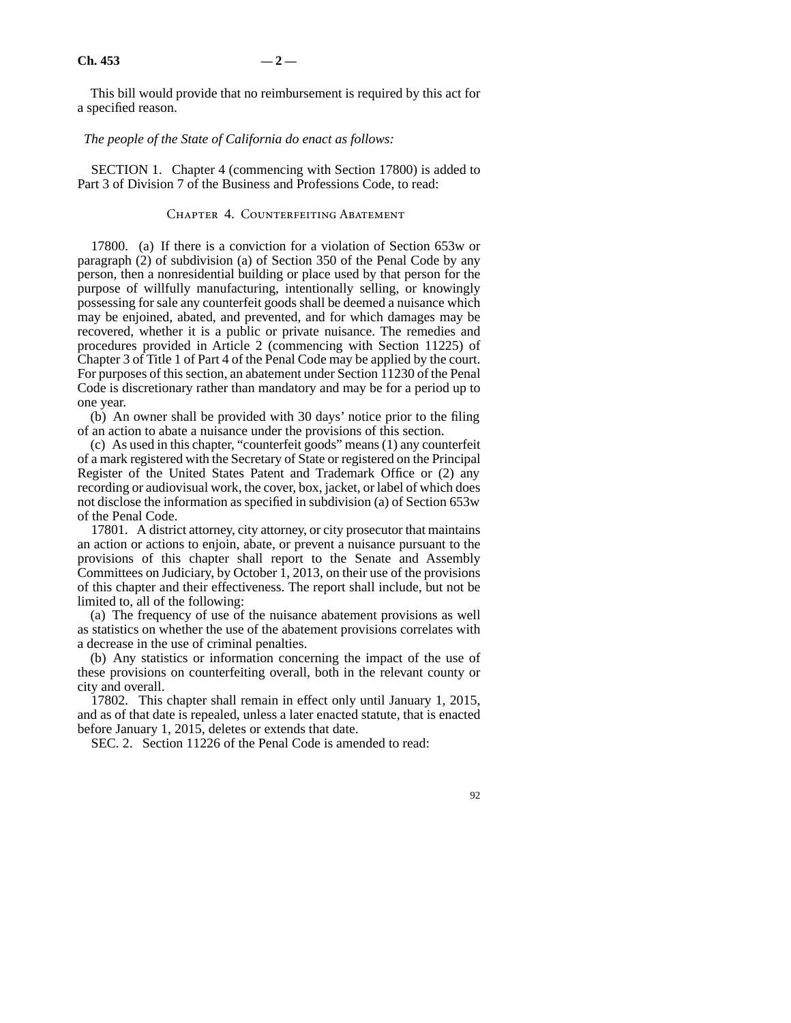This bill would provide that no reimbursement is required by this act for a specified reason.

*The people of the State of California do enact as follows:*

SECTION 1. Chapter 4 (commencing with Section 17800) is added to Part 3 of Division 7 of the Business and Professions Code, to read:

## CHAPTER 4. COUNTERFEITING ABATEMENT

17800. (a) If there is a conviction for a violation of Section 653w or paragraph (2) of subdivision (a) of Section 350 of the Penal Code by any person, then a nonresidential building or place used by that person for the purpose of willfully manufacturing, intentionally selling, or knowingly possessing for sale any counterfeit goods shall be deemed a nuisance which may be enjoined, abated, and prevented, and for which damages may be recovered, whether it is a public or private nuisance. The remedies and procedures provided in Article 2 (commencing with Section 11225) of Chapter 3 of Title 1 of Part 4 of the Penal Code may be applied by the court. For purposes of this section, an abatement under Section 11230 of the Penal Code is discretionary rather than mandatory and may be for a period up to one year.

(b) An owner shall be provided with 30 days' notice prior to the filing of an action to abate a nuisance under the provisions of this section.

(c) As used in this chapter, "counterfeit goods" means (1) any counterfeit of a mark registered with the Secretary of State or registered on the Principal Register of the United States Patent and Trademark Office or (2) any recording or audiovisual work, the cover, box, jacket, or label of which does not disclose the information as specified in subdivision (a) of Section 653w of the Penal Code.

17801. A district attorney, city attorney, or city prosecutor that maintains an action or actions to enjoin, abate, or prevent a nuisance pursuant to the provisions of this chapter shall report to the Senate and Assembly Committees on Judiciary, by October 1, 2013, on their use of the provisions of this chapter and their effectiveness. The report shall include, but not be limited to, all of the following:

(a) The frequency of use of the nuisance abatement provisions as well as statistics on whether the use of the abatement provisions correlates with a decrease in the use of criminal penalties.

(b) Any statistics or information concerning the impact of the use of these provisions on counterfeiting overall, both in the relevant county or city and overall.

17802. This chapter shall remain in effect only until January 1, 2015, and as of that date is repealed, unless a later enacted statute, that is enacted before January 1, 2015, deletes or extends that date.

SEC. 2. Section 11226 of the Penal Code is amended to read:

92